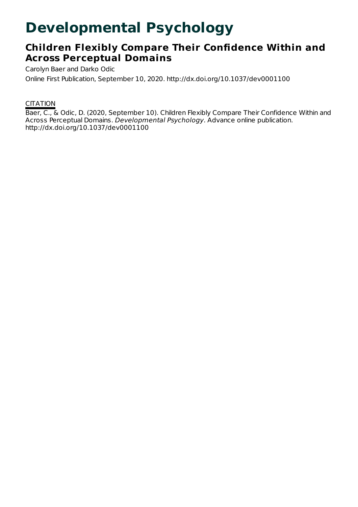# **Developmental Psychology**

# **Children Flexibly Compare Their Confidence Within and Across Perceptual Domains**

Carolyn Baer and Darko Odic

Online First Publication, September 10, 2020. http://dx.doi.org/10.1037/dev0001100

## **CITATION**

Baer, C., & Odic, D. (2020, September 10). Children Flexibly Compare Their Confidence Within and Across Perceptual Domains. Developmental Psychology. Advance online publication. http://dx.doi.org/10.1037/dev0001100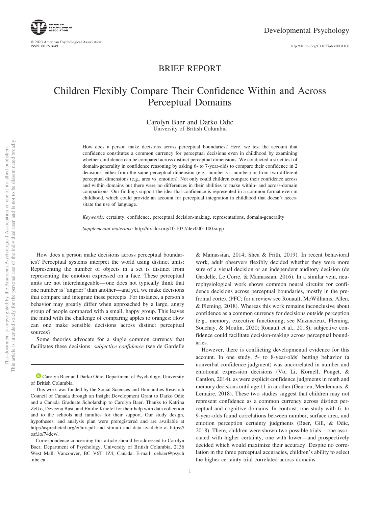

© 2020 American Psychological Association ISSN: 0012-1649

http://dx.doi.org[/10.1037/dev0001100](http://dx.doi.org/10.1037/dev0001100)

### BRIEF REPORT

# Children Flexibly Compare Their Confidence Within and Across Perceptual Domains

#### Carolyn Baer and Darko Odic University of British Columbia

How does a person make decisions across perceptual boundaries? Here, we test the account that confidence constitutes a common currency for perceptual decisions even in childhood by examining whether confidence can be compared across distinct perceptual dimensions. We conducted a strict test of domain-generality in confidence reasoning by asking 6- to 7-year-olds to compare their confidence in 2 decisions, either from the same perceptual dimension (e.g., number vs. number) or from two different perceptual dimensions (e.g., area vs. emotion). Not only could children compare their confidence across and within domains but there were no differences in their abilities to make within- and across-domain comparisons. Our findings support the idea that confidence is represented in a common format even in childhood, which could provide an account for perceptual integration in childhood that doesn't necessitate the use of language.

*Keywords:* certainty, confidence, perceptual decision-making, representations, domain-generality

*Supplemental materials:* http://dx.doi.org[/10.1037/dev0001100.supp](http://dx.doi.org/10.1037/dev0001100.supp)

How does a person make decisions across perceptual boundaries? Perceptual systems interpret the world using distinct units: Representing the number of objects in a set is distinct from representing the emotion expressed on a face. These perceptual units are not interchangeable— one does not typically think that one number is "angrier" than another—and yet, we make decisions that compare and integrate these percepts. For instance, a person's behavior may greatly differ when approached by a large, angry group of people compared with a small, happy group. This leaves the mind with the challenge of comparing apples to oranges: How can one make sensible decisions across distinct perceptual sources?

Some theories advocate for a single common currency that facilitates these decisions: *subjective confidence* (see [de Gardelle](#page-6-0)

1

[& Mamassian, 2014;](#page-6-0) Shea & Frith, 2019). In recent behavioral work, adult observers flexibly decided whether they were more sure of a visual decision or an independent auditory decision (de Gardelle, Le Corre, & Mamassian, 2016). In a similar vein, neurophysiological work shows common neural circuits for confidence decisions across perceptual boundaries, mostly in the prefrontal cortex (PFC; for a review see Rouault, McWilliams, Allen, & Fleming, 2018). Whereas this work remains inconclusive about confidence as a common currency for decisions outside perception (e.g., memory, executive functioning; see Mazancieux, Fleming, Souchay, & Moulin, 2020; Rouault et al., 2018), subjective confidence could facilitate decision-making across perceptual boundaries.

However, there is conflicting developmental evidence for this account. In one study, 5- to 8-year-olds' betting behavior (a nonverbal confidence judgment) was uncorrelated in number and emotional expression decisions (Vo, Li, Kornell, Pouget, & Cantlon, 2014), as were explicit confidence judgments in math and memory decisions until age 11 in another (Geurten, Meulemans, & Lemaire, 2018). These two studies suggest that children may not represent confidence as a common currency across distinct perceptual and cognitive domains. In contrast, one study with 6- to 9-year-olds found correlations between number, surface area, and emotion perception certainty judgments (Baer, Gill, & Odic, 2018). There, children were shown two possible trials— one associated with higher certainty, one with lower—and prospectively decided which would maximize their accuracy. Despite no correlation in the three perceptual accuracies, children's ability to select the higher certainty trial correlated across domains.

<sup>&</sup>lt;sup>1</sup> [Carolyn Baer](https://orcid.org/0000-0003-4521-8006) and Darko Odic, Department of Psychology, University of British Columbia.

This work was funded by the Social Sciences and Humanities Research Council of Canada through an Insight Development Grant to Darko Odic and a Canada Graduate Scholarship to Carolyn Baer. Thanks to Katrina Zelko, Deveena Basi, and Emilie Kniefel for their help with data collection and to the schools and families for their support. Our study design, hypotheses, and analysis plan were preregistered and are available at <http://aspredicted.org/ei5ux.pdf> and stimuli and data available at [https://](https://osf.io/74dcv/) [osf.io/74dcv/.](https://osf.io/74dcv/)

Correspondence concerning this article should be addressed to Carolyn Baer, Department of Psychology, University of British Columbia, 2136 West Mall, Vancouver, BC V6T 1Z4, Canada. E-mail: [cebaer@psych](mailto:cebaer@psych.ubc.ca) [.ubc.ca](mailto:cebaer@psych.ubc.ca)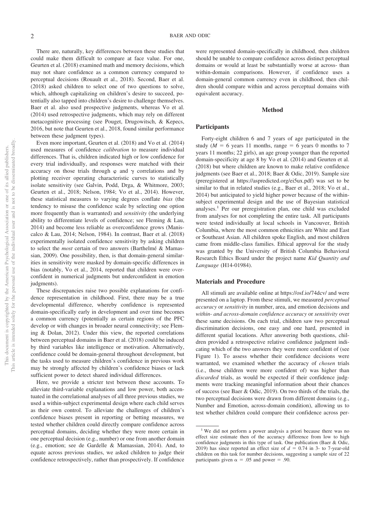There are, naturally, key differences between these studies that could make them difficult to compare at face value. For one, Geurten et al. (2018) examined math and memory decisions, which may not share confidence as a common currency compared to perceptual decisions (Rouault et al., 2018). Second, Baer et al. (2018) asked children to select one of two questions to solve, which, although capitalizing on children's desire to succeed, potentially also tapped into children's desire to challenge themselves. Baer et al. also used prospective judgments, whereas Vo et al. (2014) used retrospective judgments, which may rely on different metacognitive processing (see Pouget, Drugowitsch, & Kepecs, 2016, but note that Geurten et al., 2018, found similar performance between these judgment types).

Even more important, Geurten et al. (2018) and Vo et al. (2014) used measures of confidence *calibration* to measure individual differences. That is, children indicated high or low confidence for every trial individually, and responses were matched with their accuracy on those trials through  $\varphi$  and  $\gamma$  correlations and by plotting receiver operating characteristic curves to statistically isolate sensitivity (see Galvin, Podd, Drga, & Whitmore, 2003; Geurten et al., 2018; Nelson, 1984; Vo et al., 2014). However, these statistical measures to varying degrees conflate *bias* (the tendency to misuse the confidence scale by selecting one option more frequently than is warranted) and *sensitivity* (the underlying ability to differentiate levels of confidence; see Fleming & Lau, 2014) and become less reliable as overconfidence grows (Maniscalco & Lau, 2014; Nelson, 1984). In contrast, Baer et al. (2018) experimentally isolated confidence sensitivity by asking children to select the *most* certain of two answers (Barthelmé & Mamassian, 2009). One possibility, then, is that domain-general similarities in sensitivity were masked by domain-specific differences in bias (notably, Vo et al., 2014, reported that children were overconfident in numerical judgments but underconfident in emotion judgments).

These discrepancies raise two possible explanations for confidence representation in childhood. First, there may be a true developmental difference, whereby confidence is represented domain-specifically early in development and over time becomes a common currency (potentially as certain regions of the PFC develop or with changes in broader neural connectivity; see Fleming & Dolan, 2012). Under this view, the reported correlations between perceptual domains in Baer et al. (2018) could be induced by third variables like intelligence or motivation. Alternatively, confidence could be domain-general throughout development, but the tasks used to measure children's confidence in previous work may be strongly affected by children's confidence biases or lack sufficient power to detect shared individual differences.

Here, we provide a stricter test between these accounts. To alleviate third-variable explanations and low power, both accentuated in the correlational analyses of all three previous studies, we used a within-subject experimental design where each child serves as their own control. To alleviate the challenges of children's confidence biases present in reporting or betting measures, we tested whether children could directly compare confidence across perceptual domains, deciding whether they were more certain in one perceptual decision (e.g., number) or one from another domain (e.g., emotion; see [de Gardelle & Mamassian, 2014\)](#page-6-0). And, to equate across previous studies, we asked children to judge their confidence retrospectively, rather than prospectively. If confidence

were represented domain-specifically in childhood, then children should be unable to compare confidence across distinct perceptual domains or would at least be substantially worse at across- than within-domain comparisons. However, if confidence uses a domain-general common currency even in childhood, then children should compare within and across perceptual domains with equivalent accuracy.

#### **Method**

#### **Participants**

Forty-eight children 6 and 7 years of age participated in the study ( $M = 6$  years 11 months, range  $= 6$  years 0 months to 7 years 11 months; 22 girls), an age group younger than the reported domain-specificity at age 8 by Vo et al. (2014) and Geurten et al. (2018) but where children are known to make relative confidence judgments (see Baer et al., 2018; Baer & Odic, 2019). Sample size (preregistered at [https://aspredicted.org/ei5ux.pdf\)](https://aspredicted.org/ei5ux.pdf) was set to be similar to that in related studies (e.g., Baer et al., 2018; Vo et al., 2014) but anticipated to yield higher power because of the withinsubject experimental design and the use of Bayesian statistical analyses.<sup>1</sup> Per our preregistration plan, one child was excluded from analyses for not completing the entire task. All participants were tested individually at local schools in Vancouver, British Columbia, where the most common ethnicities are White and East or Southeast Asian. All children spoke English, and most children came from middle-class families. Ethical approval for the study was granted by the University of British Columbia Behavioral Research Ethics Board under the project name *Kid Quantity and Language* (H14-01984).

#### **Materials and Procedure**

All stimuli are available online at<https://osf.io/74dcv/> and were presented on a laptop. From these stimuli, we measured *perceptual accuracy* or *sensitivity* in number, area, and emotion decisions and *within- and across-domain confidence accuracy* or *sensitivity* over these same decisions. On each trial, children saw two perceptual discrimination decisions, one easy and one hard, presented in different spatial locations. After answering both questions, children provided a retrospective relative confidence judgment indicating which of the two answers they were more confident of (see Figure 1). To assess whether their confidence decisions were warranted, we examined whether the accuracy of *chosen* trials (i.e., those children were more confident of) was higher than *discarded* trials, as would be expected if their confidence judgments were tracking meaningful information about their chances of success (see Baer & Odic, 2019). On two thirds of the trials, the two perceptual decisions were drawn from different domains (e.g., Number and Emotion, across-domain condition), allowing us to test whether children could compare their confidence across per-

<sup>&</sup>lt;sup>1</sup> We did not perform a power analysis a priori because there was no effect size estimate then of the accuracy difference from low to high confidence judgments in this type of task. One publication (Baer & Odic, 2019) has since reported an effect size of  $d = 0.74$  in 3- to 7-year-old children on this task for number decisions, suggesting a sample size of 22 participants given  $\alpha = .05$  and power = .90.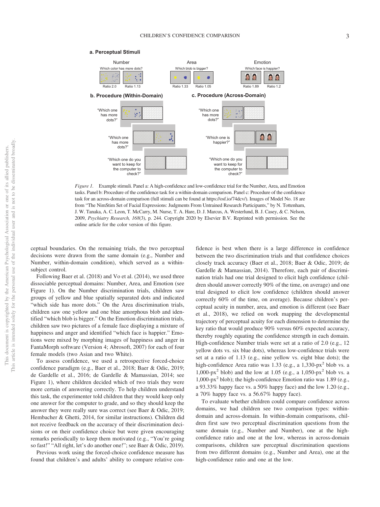#### **a. Perceptual Stimuli**



*Figure 1.* Example stimuli. Panel a: A high-confidence and low-confidence trial for the Number, Area, and Emotion tasks. Panel b: Procedure of the confidence task for a within-domain comparison. Panel c: Procedure of the confidence task for an across-domain comparison (full stimuli can be found at [https://osf.io/74dcv/\)](https://osf.io/74dcv/). Images of Model No. 18 are from "The NimStim Set of Facial Expressions: Judgments From Untrained Research Participants," by N. Tottenham, J. W. Tanaka, A. C. Leon, T. McCarry, M. Nurse, T. A. Hare, D. J. Marcus, A. Westerlund, B. J. Casey, & C. Nelson, 2009, *Psychiatry Research, 168*(3), p. 244. Copyright 2020 by Elsevier B.V. Reprinted with permission. See the online article for the color version of this figure.

ceptual boundaries. On the remaining trials, the two perceptual decisions were drawn from the same domain (e.g., Number and Number, within-domain condition), which served as a withinsubject control.

Following Baer et al. (2018) and Vo et al. (2014), we used three dissociable perceptual domains: Number, Area, and Emotion (see Figure 1). On the Number discrimination trials, children saw groups of yellow and blue spatially separated dots and indicated "which side has more dots." On the Area discrimination trials, children saw one yellow and one blue amorphous blob and identified "which blob is bigger." On the Emotion discrimination trials, children saw two pictures of a female face displaying a mixture of happiness and anger and identified "which face is happier." Emotions were mixed by morphing images of happiness and anger in FantaMorph software (Version 4; Abrosoft, 2007) for each of four female models (two Asian and two White).

To assess confidence, we used a retrospective forced-choice confidence paradigm (e.g., Baer et al., 2018; Baer & Odic, 2019; de Gardelle et al., 2016; [de Gardelle & Mamassian, 2014;](#page-6-0) see Figure 1), where children decided which of two trials they were more certain of answering correctly. To help children understand this task, the experimenter told children that they would keep only one answer for the computer to grade, and so they should keep the answer they were really sure was correct (see Baer & Odic, 2019; Hembacher & Ghetti, 2014, for similar instructions). Children did not receive feedback on the accuracy of their discrimination decisions or on their confidence choice but were given encouraging remarks periodically to keep them motivated (e.g., "You're going so fast!" "All right, let's do another one!"; see Baer & Odic, 2019).

Previous work using the forced-choice confidence measure has found that children's and adults' ability to compare relative con-

fidence is best when there is a large difference in confidence between the two discrimination trials and that confidence choices closely track accuracy (Baer et al., 2018; Baer & Odic, 2019; [de](#page-6-0) [Gardelle & Mamassian, 2014\)](#page-6-0). Therefore, each pair of discrimination trials had one trial designed to elicit high confidence (children should answer correctly 90% of the time, on average) and one trial designed to elicit low confidence (children should answer correctly 60% of the time, on average). Because children's perceptual acuity in number, area, and emotion is different (see Baer et al., 2018), we relied on work mapping the developmental trajectory of perceptual acuity for each dimension to determine the key ratio that would produce 90% versus 60% expected accuracy, thereby roughly equating the confidence strength in each domain. High-confidence Number trials were set at a ratio of 2.0 (e.g., 12 yellow dots vs. six blue dots), whereas low-confidence trials were set at a ratio of 1.13 (e.g., nine yellow vs. eight blue dots); the high-confidence Area ratio was 1.33 (e.g., a 1,330-px<sup>2</sup> blob vs. a 1,000-px<sup>2</sup> blob) and the low at 1.05 (e.g., a 1,050-px<sup>2</sup> blob vs. a 1,000-px2 blob); the high-confidence Emotion ratio was 1.89 (e.g., a 93.33% happy face vs. a 50% happy face) and the low 1.20 (e.g., a 70% happy face vs. a 56.67% happy face).

To evaluate whether children could compare confidence across domains, we had children see two comparison types: withindomain and across-domain. In within-domain comparisons, children first saw two perceptual discrimination questions from the same domain (e.g., Number and Number), one at the highconfidence ratio and one at the low, whereas in across-domain comparisons, children saw perceptual discrimination questions from two different domains (e.g., Number and Area), one at the high-confidence ratio and one at the low.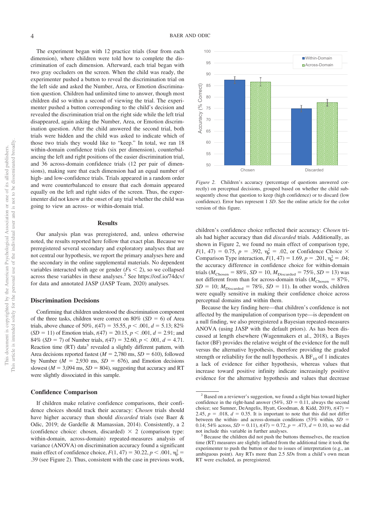The experiment began with 12 practice trials (four from each dimension), where children were told how to complete the discrimination of each dimension. Afterward, each trial began with two gray occluders on the screen. When the child was ready, the experimenter pushed a button to reveal the discrimination trial on the left side and asked the Number, Area, or Emotion discrimination question. Children had unlimited time to answer, though most children did so within a second of viewing the trial. The experimenter pushed a button corresponding to the child's decision and revealed the discrimination trial on the right side while the left trial disappeared, again asking the Number, Area, or Emotion discrimination question. After the child answered the second trial, both trials were hidden and the child was asked to indicate which of those two trials they would like to "keep." In total, we ran 18 within-domain confidence trials (six per dimension), counterbalancing the left and right positions of the easier discrimination trial, and 36 across-domain confidence trials (12 per pair of dimensions), making sure that each dimension had an equal number of high- and low-confidence trials. Trials appeared in a random order and were counterbalanced to ensure that each domain appeared equally on the left and right sides of the screen. Thus, the experimenter did not know at the onset of any trial whether the child was going to view an across- or within-domain trial.

#### **Results**

Our analysis plan was preregistered, and, unless otherwise noted, the results reported here follow that exact plan. Because we preregistered several secondary and exploratory analyses that are not central our hypothesis, we report the primary analyses here and the secondary in the [online supplemental materials.](http://dx.doi.org/10.1037/dev0001100.supp) No dependent variables interacted with age or gender  $(Fs \leq 2)$ , so we collapsed across these variables in these analyses.2 See<https://osf.io/74dcv/> for data and annotated JASP (JASP Team, 2020) analyses.

#### **Discrimination Decisions**

Confirming that children understood the discrimination component of the three tasks, children were correct on  $80\%$  (*SD* = 6) of Area trials, above chance of 50%,  $t(47) = 35.55$ ,  $p < .001$ ,  $d = 5.13$ ; 82%  $(SD = 11)$  of Emotion trials,  $t(47) = 20.15$ ,  $p < .001$ ,  $d = 2.91$ ; and 84% (*SD* = 7) of Number trials,  $t(47) = 32.60, p < .001, d = 4.71$ . Reaction time (RT) data<sup>3</sup> revealed a slightly different pattern, with Area decisions reported fastest ( $M = 2,780$  ms,  $SD = 610$ ), followed by Number ( $M = 2,930$  ms,  $SD = 676$ ), and Emotion decisions slowest ( $M = 3,094$  ms,  $SD = 804$ ), suggesting that accuracy and RT were slightly dissociated in this sample.

#### **Confidence Comparison**

If children make relative confidence comparisons, their confidence choices should track their accuracy: *Chosen* trials should have higher accuracy than should *discarded* trials (see Baer & Odic, 2019; [de Gardelle & Mamassian, 2014\)](#page-6-0). Consistently, a 2 (confidence choice: chosen, discarded)  $\times$  2 (comparison type: within-domain, across-domain) repeated-measures analysis of variance (ANOVA) on discrimination accuracy found a significant main effect of confidence choice,  $F(1, 47) = 30.22, p < .001, \eta_{p}^{2} =$ .39 (see [Figure 2\)](#page-4-0). Thus, consistent with the case in previous work,



<span id="page-4-0"></span>*Figure 2.* Children's accuracy (percentage of questions answered correctly) on perceptual decisions, grouped based on whether the child subsequently chose that question to keep (high confidence) or to discard (low confidence). Error bars represent 1 *SD*. See the online article for the color version of this figure.

children's confidence choice reflected their accuracy: *Chosen* trials had higher accuracy than did *discarded* trials. Additionally, as shown in [Figure 2,](#page-4-0) we found no main effect of comparison type,  $F(1, 47) = 0.75$ ,  $p = .392$ ,  $\eta_p^2 = .02$ , or Confidence Choice  $\times$ Comparison Type interaction,  $F(1, 47) = 1.69$ ,  $p = .201$ ,  $\eta_p^2 = .04$ ; the accuracy difference in confidence choice for within-domain trials ( $M_{\text{Chosen}} = 88\%, SD = 10, M_{\text{Discarded}} = 75\%, SD = 13$ ) was not different from than for across-domain trials ( $M_{\rm Chosen} = 87\%$ ,  $SD = 10$ ;  $M_{Discarded} = 78\%$ ,  $SD = 11$ ). In other words, children were equally sensitive in making their confidence choice across perceptual domains and within them.

Because the key finding here—that children's confidence is not affected by the manipulation of comparison type—is dependent on a null finding, we also preregistered a Bayesian repeated-measures ANOVA (using JASP with the default priors). As has been discussed at length elsewhere (Wagenmakers et al., 2018), a Bayes factor (BF) provides the relative weight of the evidence for the null versus the alternative hypothesis, therefore providing the graded strength or reliability for the null hypothesis. A  $BF_{10}$  of 1 indicates a lack of evidence for either hypothesis, whereas values that increase toward positive infinity indicate increasingly positive evidence for the alternative hypothesis and values that decrease

<sup>&</sup>lt;sup>2</sup> Based on a reviewer's suggestion, we found a slight bias toward higher confidence in the right-hand answer (54%,  $SD = 0.11$ , always the second choice; see Sumner, DeAngelis, Hyatt, Goodman, & Kidd, 2019), *t*(47) 2.45,  $p = .018$ ,  $d = 0.35$ . It is important to note that this did not differ between the within- and across-domain conditions (53% within, *SD* 0.14; 54% across,  $SD = 0.11$ ),  $t(47) = 0.72$ ,  $p = .473$ ,  $d = 0.10$ , so we did

not include this variable in further analyses.<br><sup>3</sup> Because the children did not push the buttons themselves, the reaction time (RT) measures are slightly inflated from the additional time it took the experimenter to push the button or due to issues of interpretation (e.g., an ambiguous point). Any RTs more than 2.5 *SD*s from a child's own mean RT were excluded, as preregistered.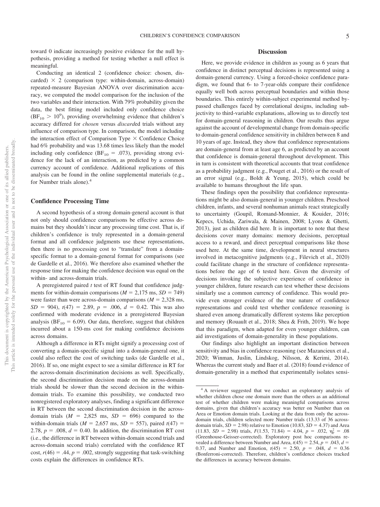toward 0 indicate increasingly positive evidence for the null hypothesis, providing a method for testing whether a null effect is meaningful.

Conducting an identical 2 (confidence choice: chosen, discarded)  $\times$  2 (comparison type: within-domain, across-domain) repeated-measure Bayesian ANOVA over discrimination accuracy, we computed the model comparison for the inclusion of the two variables and their interaction. With 79% probability given the data, the best fitting model included only confidence choice  $(BF_{10} > 10^9)$ , providing overwhelming evidence that children's accuracy differed for *chosen* versus *discard*ed trials without any influence of comparison type. In comparison, the model including the interaction effect of Comparison Type  $\times$  Confidence Choice had 6% probability and was 13.68 times less likely than the model including only confidence ( $BF_{10} = .073$ ), providing strong evidence for the lack of an interaction, as predicted by a common currency account of confidence. Additional replications of this analysis can be found in the [online supplemental materials](http://dx.doi.org/10.1037/dev0001100.supp) (e.g., for Number trials alone).4

#### **Confidence Processing Time**

A second hypothesis of a strong domain-general account is that not only should confidence comparisons be effective across domains but they shouldn't incur any processing time cost. That is, if children's confidence is truly represented in a domain-general format and all confidence judgments use these representations, then there is no processing cost to "translate" from a domainspecific format to a domain-general format for comparisons (see de Gardelle et al., 2016). We therefore also examined whether the response time for making the confidence decision was equal on the within- and across-domain trials.

A preregistered paired *t* test of RT found that confidence judgments for within-domain comparisons ( $M = 2,175$  ms,  $SD = 749$ ) were faster than were across-domain comparisons  $(M = 2,328 \text{ ms})$ ,  $SD = 904$ ,  $t(47) = 2.89$ ,  $p = .006$ ,  $d = 0.42$ . This was also confirmed with moderate evidence in a preregistered Bayesian analysis ( $BF_{10} = 6.09$ ). Our data, therefore, suggest that children incurred about a 150-ms cost for making confidence decisions across domains.

Although a difference in RTs might signify a processing cost of converting a domain-specific signal into a domain-general one, it could also reflect the cost of switching tasks (de Gardelle et al., 2016). If so, one might expect to see a similar difference in RT for the across-domain discrimination decisions as well. Specifically, the second discrimination decision made on the across-domain trials should be slower than the second decision in the withindomain trials. To examine this possibility, we conducted two nonregistered exploratory analyses, finding a significant difference in RT between the second discrimination decision in the acrossdomain trials  $(M = 2,825 \text{ ms}, SD = 696)$  compared to the within-domain trials ( $M = 2,657$  ms,  $SD = 557$ ), paired  $t(47) =$ 2.78,  $p = .008$ ,  $d = 0.40$ . In addition, the discrimination RT cost (i.e., the difference in RT between within-domain second trials and across-domain second trials) correlated with the confidence RT cost,  $r(46) = .44$ ,  $p = .002$ , strongly suggesting that task-switching costs explain the differences in confidence RTs.

#### **Discussion**

Here, we provide evidence in children as young as 6 years that confidence in distinct perceptual decisions is represented using a domain-general currency. Using a forced-choice confidence paradigm, we found that 6- to 7-year-olds compare their confidence equally well both across perceptual boundaries and within those boundaries. This entirely within-subject experimental method bypassed challenges faced by correlational designs, including subjectivity to third-variable explanations, allowing us to directly test for domain-general reasoning in children. Our results thus argue against the account of developmental change from domain-specific to domain-general confidence sensitivity in children between 8 and 10 years of age. Instead, they show that confidence representations are domain-general from at least age 6, as predicted by an account that confidence is domain-general throughout development. This in turn is consistent with theoretical accounts that treat confidence as a probability judgment (e.g., Pouget et al., 2016) or the result of an error signal (e.g., Boldt & Yeung, 2015), which could be available to humans throughout the life span.

These findings open the possibility that confidence representations might be also domain-general in younger children. Preschool children, infants, and several nonhuman animals react strategically to uncertainty (Goupil, Romand-Monnier, & Kouider, 2016; Kepecs, Uchida, Zariwala, & Mainen, 2008; Lyons & Ghetti, 2013), just as children did here. It is important to note that these decisions cover many domains: memory decisions, perceptual access to a reward, and direct perceptual comparisons like those used here. At the same time, development in neural structures involved in metacognitive judgments (e.g., Filevich et al., 2020) could facilitate change in the structure of confidence representations before the age of 6 tested here. Given the diversity of decisions invoking the subjective experience of confidence in younger children, future research can test whether these decisions similarly use a common currency of confidence. This would provide even stronger evidence of the true nature of confidence representations and could test whether confidence reasoning is shared even among dramatically different systems like perception and memory (Rouault et al., 2018; Shea & Frith, 2019). We hope that this paradigm, when adapted for even younger children, can aid investigations of domain-generality in these populations.

Our findings also highlight an important distinction between sensitivity and bias in confidence reasoning (see Mazancieux et al., 2020; Winman, Juslin, Lindskog, Nilsson, & Kerimi, 2014). Whereas the current study and Baer et al. (2018) found evidence of domain-generality in a method that experimentally isolates sensi-

<sup>&</sup>lt;sup>4</sup> A reviewer suggested that we conduct an exploratory analysis of whether children chose one domain more than the others as an additional test of whether children were making meaningful comparisons across domains, given that children's accuracy was better on Number than on Area or Emotion domain trials. Looking at the data from only the acrossdomain trials, children selected more Number trials (13.33 of 36 acrossdomain trials,  $SD = 2.98$ ) relative to Emotion (10.83,  $SD = 4.37$ ) and Area  $(11.83, SD = 2.98)$  trials,  $F(1.53, 71.84) = 4.04$ ,  $p = .032$ ,  $\eta_p^2 = .08$ (Greenhouse-Geisser-corrected). Exploratory post hoc comparisons revealed a difference between Number and Area,  $t(45) = 2.54$ ,  $p = .043$ ,  $d =$ 0.37, and Number and Emotion,  $t(45) = 2.50$ ,  $p = .048$ ,  $d = 0.36$ (Bonferroni-corrected). Therefore, children's confidence choices tracked the differences in accuracy between domains.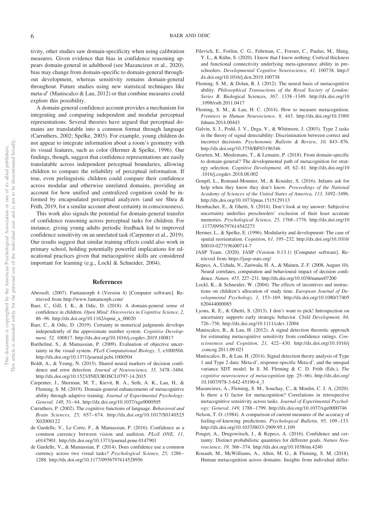tivity, other studies saw domain-specificity when using calibration measures. Given evidence that bias in confidence reasoning appears domain-general in adulthood (see Mazancieux et al., 2020), bias may change from domain-specific to domain-general throughout development, whereas sensitivity remains domain-general throughout. Future studies using new statistical techniques like meta-d' (Maniscalco & Lau, 2012) or that combine measures could explore this possibility.

A domain-general confidence account provides a mechanism for integrating and comparing independent and modular perceptual representations. Several theories have argued that perceptual domains are translatable into a common format through language [\(Carruthers, 2002;](#page-6-1) Spelke, 2003). For example, young children do not appear to integrate information about a room's geometry with its visual features, such as color [\(Hermer & Spelke, 1996\)](#page-6-2). Our findings, though, suggest that confidence representations are easily translatable across independent perceptual boundaries, allowing children to compare the reliability of perceptual information. If true, even prelinguistic children could compare their confidence across modular and otherwise unrelated domains, providing an account for how unified and centralized cognition could be informed by encapsulated perceptual analyzers (and see Shea & Frith, 2019, for a similar account about certainty in consciousness).

This work also signals the potential for domain-general transfer of confidence reasoning across perceptual tasks for children. For instance, giving young adults periodic feedback led to improved confidence sensitivity on an unrelated task (Carpenter et al., 2019). Our results suggest that similar training effects could also work in primary school, holding potentially powerful implications for educational practices given that metacognitive skills are considered important for learning (e.g., [Lockl & Schneider, 2004\)](#page-6-3).

#### **References**

Abrosoft. (2007). Fantamorph 4 (Version 4) [Computer software]. Retrieved from<http://www.fantamorph.com/>

- Baer, C., Gill, I. K., & Odic, D. (2018). A domain-general sense of confidence in children. *Open Mind: Discoveries in Cognitive Science, 2,* 86 –96. [http://dx.doi.org/10.1162/opmi\\_a\\_00020](http://dx.doi.org/10.1162/opmi_a_00020)
- Baer, C., & Odic, D. (2019). Certainty in numerical judgments develops independently of the approximate number system. *Cognitive Development, 52,* 100817.<http://dx.doi.org/10.1016/j.cogdev.2019.100817>
- Barthelmé, S., & Mamassian, P. (2009). Evaluation of objective uncertainty in the visual system. *PLoS Computational Biology, 5,* e1000504. <http://dx.doi.org/10.1371/journal.pcbi.1000504>
- Boldt, A., & Yeung, N. (2015). Shared neural markers of decision confidence and error detection. *Journal of Neuroscience, 35,* 3478 –3484. <http://dx.doi.org/10.1523/JNEUROSCI.0797-14.2015>
- Carpenter, J., Sherman, M. T., Kievit, R. A., Seth, A. K., Lau, H., & Fleming, S. M. (2019). Domain-general enhancements of metacognitive ability through adaptive training. *Journal of Experimental Psychology:* General, 148, 51-64.<http://dx.doi.org/10.1037/xge0000505>
- <span id="page-6-1"></span>Carruthers, P. (2002). The cognitive functions of language. *Behavioral and Brain Sciences, 25,* 657– 674. [http://dx.doi.org/10.1017/S0140525](http://dx.doi.org/10.1017/S0140525X02000122) [X02000122](http://dx.doi.org/10.1017/S0140525X02000122)
- de Gardelle, V., Le Corre, F., & Mamassian, P. (2016). Confidence as a common currency between vision and audition. *PLoS ONE, 11,* e0147901.<http://dx.doi.org/10.1371/journal.pone.0147901>
- <span id="page-6-0"></span>de Gardelle, V., & Mamassian, P. (2014). Does confidence use a common currency across two visual tasks? *Psychological Science, 25,* 1286 – 1288.<http://dx.doi.org/10.1177/0956797614528956>
- Filevich, E., Forlim, C. G., Fehrman, C., Forster, C., Paulus, M., Shing, Y. L., & Kühn, S. (2020). I know that I know nothing: Cortical thickness and functional connectivity underlying meta-ignorance ability in preschoolers. *Developmental Cognitive Neuroscience, 41,* 100738. [http://](http://dx.doi.org/10.1016/j.dcn.2019.100738) [dx.doi.org/10.1016/j.dcn.2019.100738](http://dx.doi.org/10.1016/j.dcn.2019.100738)
- Fleming, S. M., & Dolan, R. J. (2012). The neural basis of metacognitive ability. *Philosophical Transactions of the Royal Society of London: Series B*. Biological Sciences, *367,* 1338 –1349. [http://dx.doi.org/10](http://dx.doi.org/10.1098/rstb.2011.0417) [.1098/rstb.2011.0417](http://dx.doi.org/10.1098/rstb.2011.0417)
- Fleming, S. M., & Lau, H. C. (2014). How to measure metacognition. *Frontiers in Human Neuroscience, 8,* 443. [http://dx.doi.org/10.3389/](http://dx.doi.org/10.3389/fnhum.2014.00443) [fnhum.2014.00443](http://dx.doi.org/10.3389/fnhum.2014.00443)
- Galvin, S. J., Podd, J. V., Drga, V., & Whitmore, J. (2003). Type 2 tasks in the theory of signal detectability: Discrimination between correct and incorrect decisions. *Psychonomic Bulletin & Review, 10,* 843– 876. <http://dx.doi.org/10.3758/BF03196546>
- Geurten, M., Meulemans, T., & Lemaire, P. (2018). From domain-specific to domain-general? The developmental path of metacognition for strategy selection. *Cognitive Development, 48,* 62– 81. [http://dx.doi.org/10](http://dx.doi.org/10.1016/j.cogdev.2018.08.002) [.1016/j.cogdev.2018.08.002](http://dx.doi.org/10.1016/j.cogdev.2018.08.002)
- Goupil, L., Romand-Monnier, M., & Kouider, S. (2016). Infants ask for help when they know they don't know. *Proceedings of the National Academy of Sciences of the United States of America, 113,* 3492–3496. <http://dx.doi.org/10.1073/pnas.1515129113>
- Hembacher, E., & Ghetti, S. (2014). Don't look at my answer: Subjective uncertainty underlies preschoolers' exclusion of their least accurate memories. *Psychological Science, 25,* 1768 –1776. [http://dx.doi.org/10](http://dx.doi.org/10.1177/0956797614542273) [.1177/0956797614542273](http://dx.doi.org/10.1177/0956797614542273)
- <span id="page-6-2"></span>Hermer, L., & Spelke, E. (1996). Modularity and development: The case of spatial reorientation. *Cognition, 61,* 195–232. [http://dx.doi.org/10.1016/](http://dx.doi.org/10.1016/S0010-0277%2896%2900714-7) [S0010-0277\(96\)00714-7](http://dx.doi.org/10.1016/S0010-0277%2896%2900714-7)
- JASP Team. (2020). JASP (Version 0.13.1) [Computer software]. Retrieved from<https://jasp-stats.org/>
- Kepecs, A., Uchida, N., Zariwala, H. A., & Mainen, Z. F. (2008, August 10). Neural correlates, computation and behavioural impact of decision confidence. *Nature, 455,* 227–231.<http://dx.doi.org/10.1038/nature07200>
- <span id="page-6-3"></span>Lockl, K., & Schneider, W. (2004). The effects of incentives and instructions on children's allocation of study time. *European Journal of Developmental Psychology, 1,* 153–169. [http://dx.doi.org/10.1080/17405](http://dx.doi.org/10.1080/17405620444000085) [620444000085](http://dx.doi.org/10.1080/17405620444000085)
- Lyons, K. E., & Ghetti, S. (2013). I don't want to pick! Introspection on uncertainty supports early strategic behavior. *Child Development, 84,* 726 –736.<http://dx.doi.org/10.1111/cdev.12004>
- Maniscalco, B., & Lau, H. (2012). A signal detection theoretic approach for estimating metacognitive sensitivity from confidence ratings. *Consciousness and Cognition, 21,* 422– 430. [http://dx.doi.org/10.1016/j](http://dx.doi.org/10.1016/j.concog.2011.09.021) [.concog.2011.09.021](http://dx.doi.org/10.1016/j.concog.2011.09.021)
- Maniscalco, B., & Lau, H. (2014). Signal detection theory analysis of Type 1 and Type 2 data: Meta-d', response-specific Meta-d', and the unequal variance SDT model. In S. M. Fleming & C. D. Frith (Eds.), *The cognitive neuroscience of metacognition* (pp. 25– 66). [http://dx.doi.org/](http://dx.doi.org/10.1007/978-3-642-45190-4_3) [10.1007/978-3-642-45190-4\\_3](http://dx.doi.org/10.1007/978-3-642-45190-4_3)
- Mazancieux, A., Fleming, S. M., Souchay, C., & Moulin, C. J. A. (2020). Is there a G factor for metacognition? Correlations in retrospective metacognitive sensitivity across tasks. *Journal of Experimental Psychology: General, 149,* 1788 –1799.<http://dx.doi.org/10.1037/xge0000746>
- Nelson, T. O. (1984). A comparison of current measures of the accuracy of feeling-of-knowing predictions. *Psychological Bulletin, 95,* 109 –133. <http://dx.doi.org/10.1037/0033-2909.95.1.109>
- Pouget, A., Drugowitsch, J., & Kepecs, A. (2016). Confidence and certainty: Distinct probabilistic quantities for different goals. *Nature Neuroscience, 19,* 366 –374.<http://dx.doi.org/10.1038/nn.4240>
- Rouault, M., McWilliams, A., Allen, M. G., & Fleming, S. M. (2018). Human metacognition across domains: Insights from individual differ-